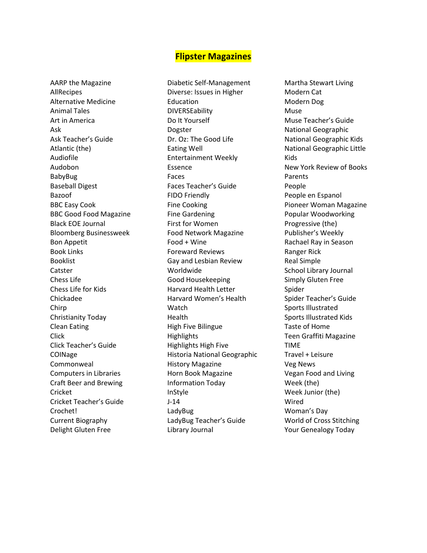## **Flipster Magazines**

AARP the Magazine AllRecipes Alternative Medicine Animal Tales Art in America Ask Ask Teacher's Guide Atlantic (the) Audiofile Audobon BabyBug Baseball Digest Bazoof BBC Easy Cook BBC Good Food Magazine Black EOE Journal Bloomberg Businessweek Bon Appetit Book Links Booklist Catster Chess Life Chess Life for Kids Chickadee Chirp Christianity Today Clean Eating Click Click Teacher's Guide COINage Commonweal Computers in Libraries Craft Beer and Brewing Cricket Cricket Teacher's Guide Crochet! Current Biography Delight Gluten Free

Diabetic Self-Management Diverse: Issues in Higher Education DIVERSEability Do It Yourself Dogster Dr. Oz: The Good Life Eating Well Entertainment Weekly Essence Faces Faces Teacher's Guide FIDO Friendly Fine Cooking Fine Gardening First for Women Food Network Magazine Food + Wine Foreward Reviews Gay and Lesbian Review Worldwide Good Housekeeping Harvard Health Letter Harvard Women's Health Watch Health High Five Bilingue **Highlights** Highlights High Five Historia National Geographic History Magazine Horn Book Magazine Information Today InStyle J-14 LadyBug LadyBug Teacher's Guide Library Journal

Martha Stewart Living Modern Cat Modern Dog Muse Muse Teacher's Guide National Geographic National Geographic Kids National Geographic Little Kids New York Review of Books Parents People People en Espanol Pioneer Woman Magazine Popular Woodworking Progressive (the) Publisher's Weekly Rachael Ray in Season Ranger Rick Real Simple School Library Journal Simply Gluten Free Spider Spider Teacher's Guide Sports Illustrated Sports Illustrated Kids Taste of Home Teen Graffiti Magazine TIME Travel + Leisure Veg News Vegan Food and Living Week (the) Week Junior (the) Wired Woman's Day World of Cross Stitching Your Genealogy Today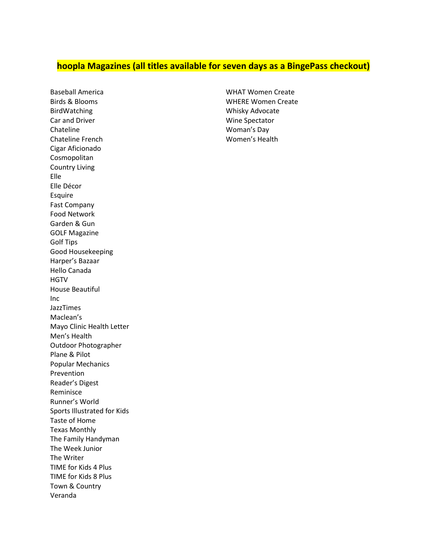## **hoopla Magazines (all titles available for seven days as a BingePass checkout)**

Baseball America Birds & Blooms BirdWatching Car and Driver Chateline Chateline French Cigar Aficionado Cosmopolitan Country Living Elle Elle Décor Esquire Fast Company Food Network Garden & Gun GOLF Magazine Golf Tips Good Housekeeping Harper's Bazaar Hello Canada **HGTV** House Beautiful Inc JazzTimes Maclean's Mayo Clinic Health Letter Men's Health Outdoor Photographer Plane & Pilot Popular Mechanics Prevention Reader's Digest Reminisce Runner's World Sports Illustrated for Kids Taste of Home Texas Monthly The Family Handyman The Week Junior The Writer TIME for Kids 4 Plus TIME for Kids 8 Plus Town & Country Veranda

WHAT Women Create WHERE Women Create Whisky Advocate Wine Spectator Woman's Day Women's Health